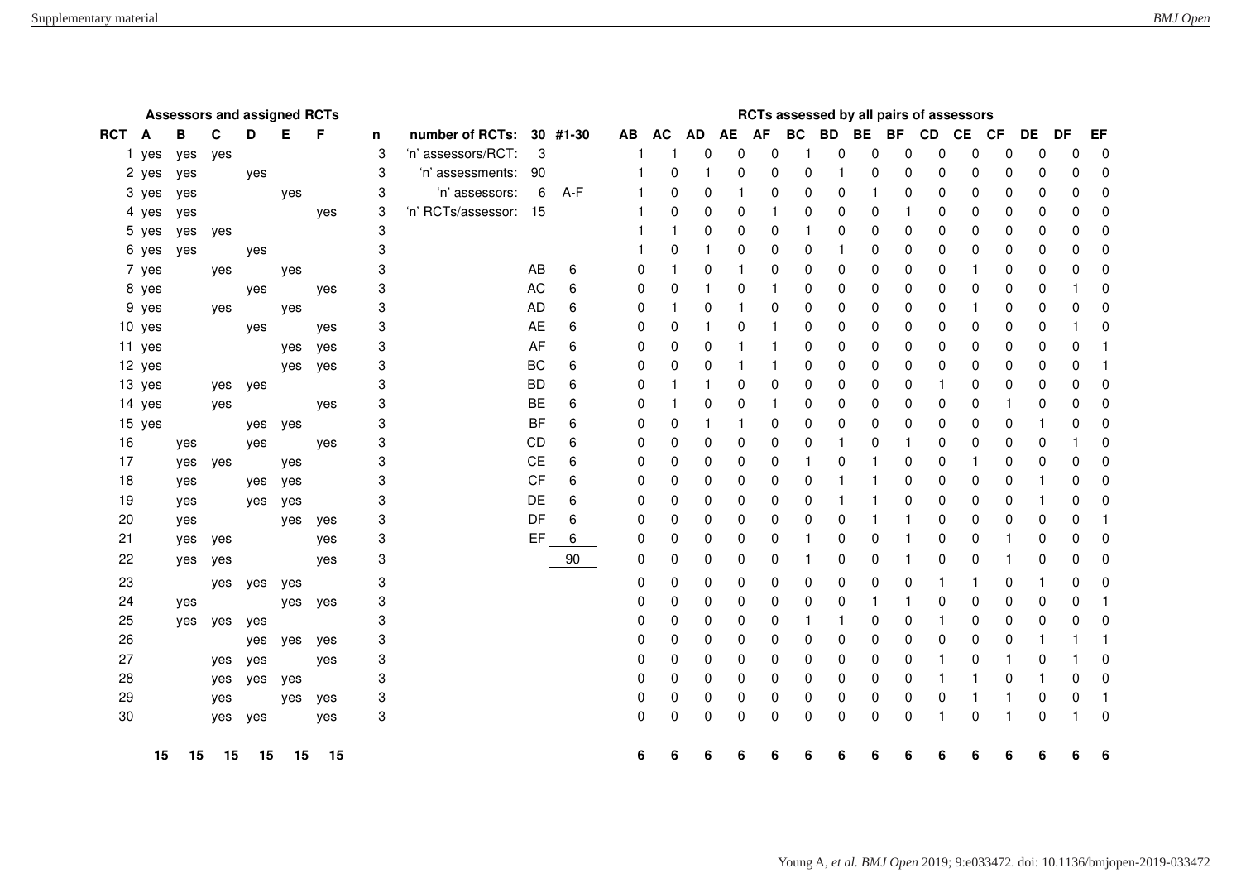|            | <b>Assessors and assigned RCTs</b> |     |     |         |     |     |   |                       |           |          |    | RCTs assessed by all pairs of assessors |           |    |             |           |              |              |           |          |             |              |          |    |              |
|------------|------------------------------------|-----|-----|---------|-----|-----|---|-----------------------|-----------|----------|----|-----------------------------------------|-----------|----|-------------|-----------|--------------|--------------|-----------|----------|-------------|--------------|----------|----|--------------|
| <b>RCT</b> | A                                  | B   | C   | D       | Е   | F   | n | number of RCTs:       |           | 30 #1-30 | AB | <b>AC</b>                               | <b>AD</b> | AE | AF          | <b>BC</b> | <b>BD</b>    | <b>BE</b>    | <b>BF</b> | CD CE    |             | <b>CF</b>    | DE       | DF | EF           |
|            | 1 yes                              | yes | yes |         |     |     | 3 | 'n' assessors/RCT:    | 3         |          | 1  | 1                                       | 0         | 0  | 0           |           | $\Omega$     | $\Omega$     | 0         | 0        | $\Omega$    | $\mathbf 0$  | $\Omega$ | 0  | $\Omega$     |
|            | 2 yes                              | yes |     | yes     |     |     | 3 | 'n' assessments: 90   |           |          |    | $\Omega$                                | 1         | 0  | 0           | $\Omega$  |              | 0            | 0         | $\Omega$ | 0           | $\mathbf{0}$ | 0        | 0  | $\mathbf{0}$ |
|            | 3 yes                              | yes |     |         | yes |     | 3 | 'n' assessors:        | 6         | A-F      |    | $\mathbf{0}$                            | 0         |    | 0           | 0         | 0            |              | 0         | $\Omega$ | 0           | 0            | 0        | 0  | 0            |
|            | 4 yes                              | yes |     |         |     | yes | 3 | 'n' RCTs/assessor: 15 |           |          |    | $\Omega$                                | 0         | 0  | 1           | 0         | 0            | $\mathbf{0}$ | 1         | 0        | 0           | 0            | 0        | 0  | 0            |
|            | 5 yes                              | yes | yes |         |     |     | 3 |                       |           |          |    |                                         | 0         | 0  | $\mathbf 0$ |           | $\mathbf{0}$ | $\mathbf{0}$ | 0         | 0        | 0           | $\mathbf 0$  | 0        | 0  | O            |
|            | 6 yes                              | yes |     | yes     |     |     | 3 |                       |           |          |    | 0                                       | 1         | 0  | 0           | 0         |              | 0            | 0         | 0        | 0           | 0            | 0        | 0  | 0            |
|            | 7 yes                              |     | yes |         | yes |     | 3 |                       | <b>AB</b> | 6        | 0  | 1                                       | 0         | 1  | 0           | 0         | $\mathbf{0}$ | 0            | 0         | 0        | 1           | 0            | 0        | 0  | 0            |
|            | 8 yes                              |     |     | yes     |     | yes | 3 |                       | <b>AC</b> | 6        | 0  | $\Omega$                                | 1         | 0  |             | 0         | 0            | 0            | 0         | 0        | 0           | $\mathbf 0$  | 0        | 1  | 0            |
|            | 9 yes                              |     | yes |         | yes |     | 3 |                       | <b>AD</b> | 6        | 0  |                                         | 0         |    | 0           | 0         | 0            | 0            | 0         | 0        | 1           | 0            | 0        | 0  | 0            |
|            | 10 yes                             |     |     | yes     |     | yes | 3 |                       | <b>AE</b> | 6        | 0  | 0                                       | 1         | 0  |             | 0         | 0            | 0            | 0         | 0        | 0           | $\mathbf 0$  | 0        | 1  | 0            |
|            | 11 yes                             |     |     |         | yes | yes | 3 |                       | AF        | 6        | 0  | $\mathbf{0}$                            | 0         | 1  |             | 0         | 0            | 0            | 0         | 0        | 0           | $\mathbf 0$  | 0        | 0  | -1           |
|            | 12 yes                             |     |     |         | yes | yes | 3 |                       | <b>BC</b> | 6        | 0  | $\Omega$                                | 0         | -1 |             | 0         | 0            | 0            | 0         | 0        | 0           | 0            | 0        | 0  | -1           |
|            | 13 yes                             |     |     | yes yes |     |     | 3 |                       | <b>BD</b> | 6        | 0  | 1                                       | 1         | 0  | 0           | 0         | 0            | 0            | 0         | 1        | 0           | 0            | 0        | 0  | 0            |
|            | 14 yes                             |     | yes |         |     | yes | 3 |                       | <b>BE</b> | 6        | 0  |                                         | 0         | 0  |             | 0         | 0            | 0            | 0         | 0        | 0           | 1            | 0        | 0  | 0            |
|            | 15 yes                             |     |     | yes     | yes |     | 3 |                       | <b>BF</b> | 6        | 0  | 0                                       | 1         | 1  | 0           | 0         | 0            | 0            | 0         | 0        | 0           | 0            | 1        | 0  | 0            |
| 16         |                                    | yes |     | yes     |     | yes | 3 |                       | CD        | 6        | 0  | 0                                       | 0         | 0  | 0           | 0         |              | $\mathbf{0}$ | 1         | 0        | 0           | 0            | 0        | 1  | O            |
| 17         |                                    | yes | yes |         | yes |     | 3 |                       | <b>CE</b> | 6        | 0  | 0                                       | 0         | 0  | 0           |           | 0            |              | 0         | 0        | -1          | 0            | 0        | 0  | 0            |
| 18         |                                    | yes |     | yes     | yes |     | 3 |                       | <b>CF</b> | 6        | 0  | 0                                       | 0         | 0  | 0           | 0         | -1           | 1            | 0         | 0        | 0           | 0            | 1        | 0  | 0            |
| 19         |                                    | yes |     | yes     | yes |     | 3 |                       | DE        | 6        | 0  | 0                                       | 0         | 0  | 0           | 0         |              |              | 0         | 0        | 0           | $\mathbf 0$  | 1        | 0  | 0            |
| 20         |                                    | yes |     |         | yes | yes | 3 |                       | DF        | 6        | 0  | 0                                       | 0         | 0  | 0           | 0         | 0            |              | 1         | 0        | 0           | 0            | 0        | 0  | 1            |
| 21         |                                    | yes | yes |         |     | yes | 3 |                       | EF        | 6        | 0  | 0                                       | 0         | 0  | 0           |           | 0            | 0            | 1         | 0        | $\mathbf 0$ | 1            | 0        | 0  | 0            |
| 22         |                                    | yes | yes |         |     | yes | 3 |                       |           | 90       | 0  | 0                                       | 0         | 0  | 0           |           | 0            | 0            | 1         | 0        | 0           | -1           | 0        | 0  | O            |
| 23         |                                    |     | yes | yes     | yes |     | 3 |                       |           |          | 0  | 0                                       | 0         | 0  | 0           | 0         | 0            | 0            | 0         | -1       |             | 0            | 1        | 0  | 0            |
| 24         |                                    | yes |     |         | yes | yes | 3 |                       |           |          | 0  | 0                                       | 0         | 0  | 0           | 0         | 0            | 1            | 1         | 0        | 0           | $\mathbf 0$  | 0        | 0  | -1           |
| 25         |                                    | yes | yes | yes     |     |     | 3 |                       |           |          | 0  | 0                                       | 0         | 0  | 0           |           |              | 0            | 0         | -1       | 0           | $\mathbf 0$  | 0        | 0  | 0            |
| 26         |                                    |     |     | yes     | yes | yes | 3 |                       |           |          | 0  | 0                                       | 0         | 0  | 0           | 0         | 0            | 0            | 0         | 0        | 0           | $\mathbf 0$  | 1        | 1  | 1            |
| 27         |                                    |     | yes | yes     |     | yes | 3 |                       |           |          | 0  | 0                                       | 0         | 0  | 0           | 0         | 0            | 0            | 0         | -1       | 0           | 1            | 0        | 1  | 0            |
| 28         |                                    |     | yes | yes     | yes |     | 3 |                       |           |          | 0  | 0                                       | 0         | 0  | 0           | 0         | 0            | 0            | 0         |          |             | 0            | 1        | 0  | 0            |
| 29         |                                    |     | yes |         | yes | yes | 3 |                       |           |          | 0  | 0                                       | 0         | 0  | 0           | 0         | 0            | 0            | 0         | 0        | 1           | 1            | 0        | 0  | -1           |
| 30         |                                    |     |     | yes yes |     | yes | 3 |                       |           |          | 0  | 0                                       | 0         | 0  | 0           | $\Omega$  | $\mathbf{0}$ | 0            | 0         | 1        | $\mathbf 0$ |              | $\Omega$ | 1  | 0            |
|            |                                    |     |     |         |     |     |   |                       |           |          |    |                                         |           |    |             |           |              |              |           |          |             |              |          |    |              |
|            | 15                                 | 15  | 15  | 15      | 15  | 15  |   |                       |           |          | 6  | 6                                       | 6         | 6  | 6           | 6         |              |              |           |          |             | 6            |          | 6  |              |